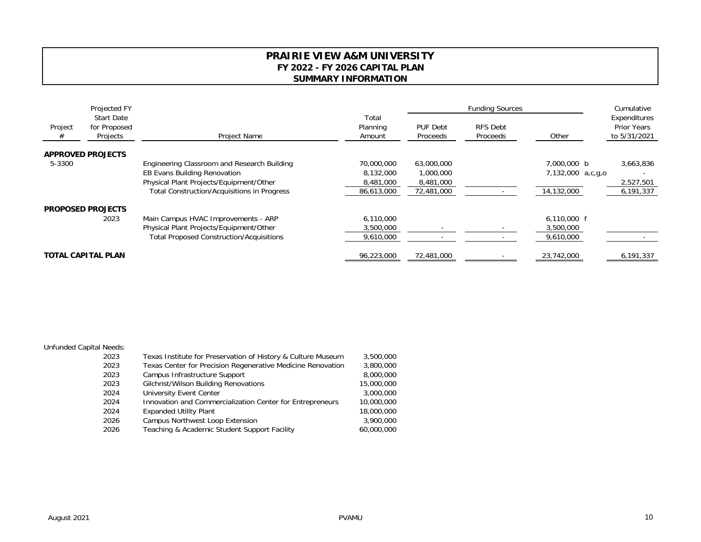## **PRAIRIE VIEW A&M UNIVERSITY FY 2022 - FY 2026 CAPITAL PLAN SUMMARY INFORMATION**

| Project<br># | Projected FY<br><b>Start Date</b><br>for Proposed<br>Projects | Project Name                                       |                             |                      | <b>Funding Sources</b>      |                   | Cumulative<br>Expenditures<br><b>Prior Years</b><br>to 5/31/2021 |
|--------------|---------------------------------------------------------------|----------------------------------------------------|-----------------------------|----------------------|-----------------------------|-------------------|------------------------------------------------------------------|
|              |                                                               |                                                    | Total<br>Planning<br>Amount | PUF Debt<br>Proceeds | <b>RFS Debt</b><br>Proceeds | Other             |                                                                  |
|              | <b>APPROVED PROJECTS</b>                                      |                                                    |                             |                      |                             |                   |                                                                  |
| 5-3300       |                                                               | Engineering Classroom and Research Building        | 70,000,000                  | 63,000,000           |                             | 7,000,000 b       | 3,663,836                                                        |
|              |                                                               | <b>EB Evans Building Renovation</b>                | 8,132,000                   | 1,000,000            |                             | 7,132,000 a,c,q,o |                                                                  |
|              |                                                               | Physical Plant Projects/Equipment/Other            | 8,481,000                   | 8,481,000            |                             |                   | 2,527,501                                                        |
|              |                                                               | <b>Total Construction/Acquisitions in Progress</b> | 86,613,000                  | 72,481,000           |                             | 14,132,000        | 6,191,337                                                        |
|              | <b>PROPOSED PROJECTS</b>                                      |                                                    |                             |                      |                             |                   |                                                                  |
|              | 2023                                                          |                                                    | 6,110,000                   |                      |                             | $6,110,000$ f     |                                                                  |
|              |                                                               | Physical Plant Projects/Equipment/Other            | 3,500,000                   |                      |                             | 3,500,000         |                                                                  |
|              |                                                               | <b>Total Proposed Construction/Acquisitions</b>    | 9,610,000                   |                      |                             | 9,610,000         |                                                                  |
|              | <b>TOTAL CAPITAL PLAN</b>                                     |                                                    | 96,223,000                  | 72,481,000           |                             | 23,742,000        | 6,191,337                                                        |
|              |                                                               | Main Campus HVAC Improvements - ARP                |                             |                      |                             |                   |                                                                  |

## Unfunded Capital Needs:

| 2023 | Texas Institute for Preservation of History & Culture Museum | 3,500,000  |
|------|--------------------------------------------------------------|------------|
| 2023 | Texas Center for Precision Regenerative Medicine Renovation  | 3,800,000  |
| 2023 | Campus Infrastructure Support                                | 8,000,000  |
| 2023 | Gilchrist/Wilson Building Renovations                        | 15,000,000 |
| 2024 | <b>University Event Center</b>                               | 3,000,000  |
| 2024 | Innovation and Commercialization Center for Entrepreneurs    | 10,000,000 |
| 2024 | <b>Expanded Utility Plant</b>                                | 18,000,000 |
| 2026 | Campus Northwest Loop Extension                              | 3,900,000  |
| 2026 | Teaching & Academic Student Support Facility                 | 60,000,000 |